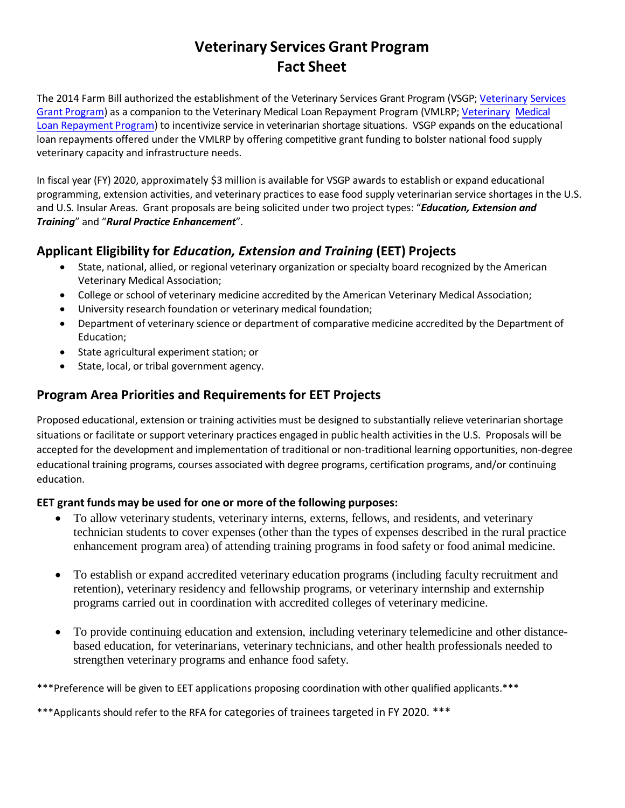# **Veterinary Services Grant Program Fact Sheet**

The 2014 Farm Bill authorized the establishment of the Veterinary Services Grant Program (VSGP; Veterinary [Services](http://www.nifa.usda.gov/vsgp)  Grant [Program\) as](http://www.nifa.usda.gov/vsgp) a companion to the Veterinary Medical Loan Repayment Program (VMLRP; Veterinary [Medical](http://www.nifa.usda.gov/vmlrp)  [Loan Repayment](http://www.nifa.usda.gov/vmlrp) Program) to incentivize service in veterinarian shortage situations. VSGP expands on the educational loan repayments offered under the VMLRP by offering competitive grant funding to bolster national food supply veterinary capacity and infrastructure needs.

In fiscal year (FY) 2020, approximately \$3 million is available for VSGP awards to establish or expand educational programming, extension activities, and veterinary practices to ease food supply veterinarian service shortages in the U.S. and U.S. Insular Areas. Grant proposals are being solicited under two project types: "*Education, Extension and Training*" and "*Rural Practice Enhancement*".

## **Applicant Eligibility for** *Education, Extension and Training* **(EET) Projects**

- State, national, allied, or regional veterinary organization or specialty board recognized by the American Veterinary Medical Association;
- College or school of veterinary medicine accredited by the American Veterinary Medical Association;
- University research foundation or veterinary medical foundation;
- Department of veterinary science or department of comparative medicine accredited by the Department of Education;
- State agricultural experiment station; or
- State, local, or tribal government agency.

## **Program Area Priorities and Requirements for EET Projects**

Proposed educational, extension or training activities must be designed to substantially relieve veterinarian shortage situations or facilitate or support veterinary practices engaged in public health activities in the U.S. Proposals will be accepted for the development and implementation of traditional or non-traditional learning opportunities, non-degree educational training programs, courses associated with degree programs, certification programs, and/or continuing education.

#### **EET grant funds may be used for one or more of the following purposes:**

- To allow veterinary students, veterinary interns, externs, fellows, and residents, and veterinary technician students to cover expenses (other than the types of expenses described in the rural practice enhancement program area) of attending training programs in food safety or food animal medicine.
- To establish or expand accredited veterinary education programs (including faculty recruitment and retention), veterinary residency and fellowship programs, or veterinary internship and externship programs carried out in coordination with accredited colleges of veterinary medicine.
- To provide continuing education and extension, including veterinary telemedicine and other distancebased education, for veterinarians, veterinary technicians, and other health professionals needed to strengthen veterinary programs and enhance food safety.

\*\*\*Preference will be given to EET applications proposing coordination with other qualified applicants.\*\*\*

\*\*\*Applicants should refer to the RFA for categories of trainees targeted in FY 2020. \*\*\*